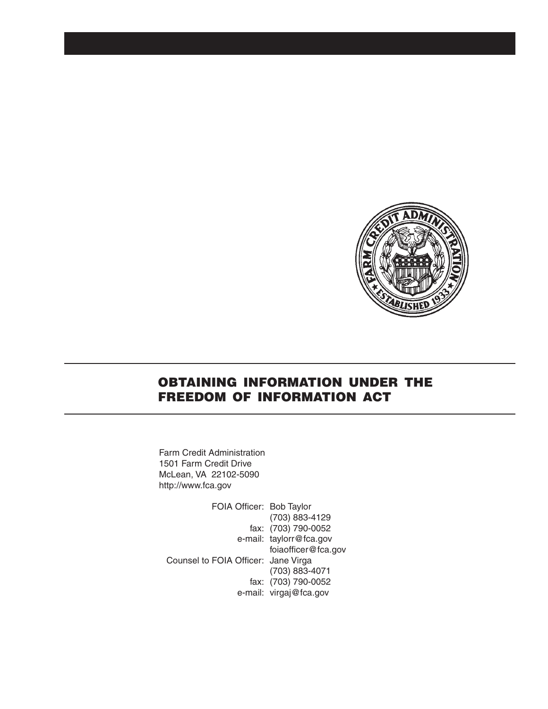

# OBTAINING INFORMATION UNDER THE FREEDOM OF INFORMATION ACT

Farm Credit Administration 1501 Farm Credit Drive McLean, VA 22102-5090 http://www.fca.gov

FOIA Officer: Bob Taylor (703) 883-4129 fax: (703) 790-0052 e-mail: taylorr@fca.gov foiaofficer@fca.gov Counsel to FOIA Officer: Jane Virga (703) 883-4071 fax: (703) 790-0052 e-mail: virgaj@fca.gov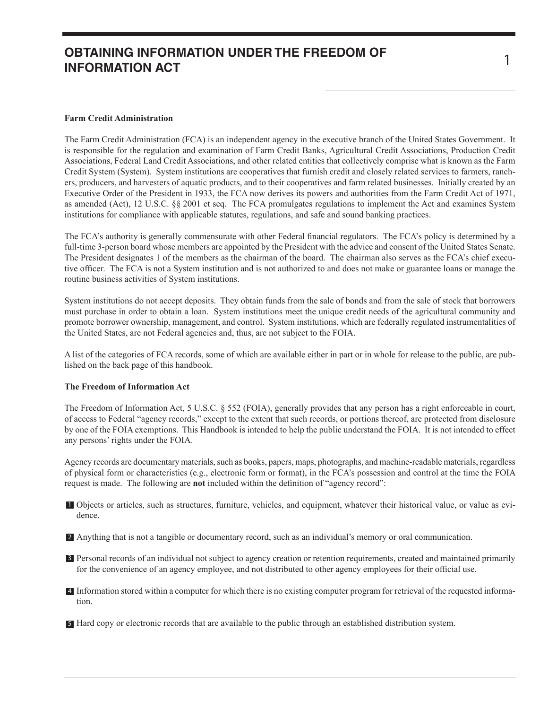# **OBTAINING INFORMATION UNDER THE FREEDOM OF INFORMATION ACT**

The Farm Credit Administration (FCA) is an independent agency in the executive branch of the United States Government. It is responsible for the regulation and examination of Farm Credit Banks, Agricultural Credit Associations, Production Credit Associations, Federal Land Credit Associations, and other related entities that collectively comprise what is known as the Farm Credit System (System). System institutions are cooperatives that furnish credit and closely related services to farmers, ranchers, producers, and harvesters of aquatic products, and to their cooperatives and farm related businesses. Initially created by an Executive Order of the President in 1933, the FCA now derives its powers and authorities from the Farm Credit Act of 1971, as amended (Act), 12 U.S.C. §§ 2001 et seq. The FCA promulgates regulations to implement the Act and examines System institutions for compliance with applicable statutes, regulations, and safe and sound banking practices.

The FCA's authority is generally commensurate with other Federal financial regulators. The FCA's policy is determined by a full-time 3-person board whose members are appointed by the President with the advice and consent of the United States Senate. The President designates 1 of the members as the chairman of the board. The chairman also serves as the FCA's chief executive officer. The FCA is not a System institution and is not authorized to and does not make or guarantee loans or manage the routine business activities of System institutions.

System institutions do not accept deposits. They obtain funds from the sale of bonds and from the sale of stock that borrowers must purchase in order to obtain a loan. System institutions meet the unique credit needs of the agricultural community and promote borrower ownership, management, and control. System institutions, which are federally regulated instrumentalities of the United States, are not Federal agencies and, thus, are not subject to the FOIA.

A list of the categories of FCA records, some of which are available either in part or in whole for release to the public, are published on the back page of this handbook.

#### **The Freedom of Information Act**

The Freedom of Information Act, 5 U.S.C. § 552 (FOIA), generally provides that any person has a right enforceable in court, of access to Federal "agency records," except to the extent that such records, or portions thereof, are protected from disclosure by one of the FOIA exemptions. This Handbook is intended to help the public understand the FOIA. It is not intended to effect any persons' rights under the FOIA.

Agency records are documentary materials, such as books, papers, maps, photographs, and machine-readable materials, regardless of physical form or characteristics (e.g., electronic form or format), in the FCA's possession and control at the time the FOIA request is made. The following are **not** included within the definition of "agency record":

- Objects or articles, such as structures, furniture, vehicles, and equipment, whatever their historical value, or value as evi-1 dence.
- **Anything that is not a tangible or documentary record, such as an individual's memory or oral communication.**
- **B** Personal records of an individual not subject to agency creation or retention requirements, created and maintained primarily for the convenience of an agency employee, and not distributed to other agency employees for their official use.
- Information stored within a computer for which there is no existing computer program for retrieval of the requested informa-4 tion.

Hard copy or electronic records that are available to the public through an established distribution system. 5

1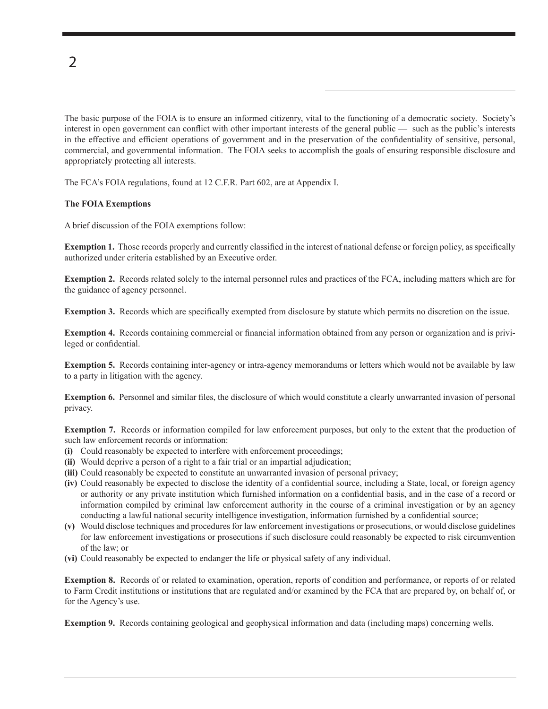2

The basic purpose of the FOIA is to ensure an informed citizenry, vital to the functioning of a democratic society. Society's interest in open government can conflict with other important interests of the general public — such as the public's interests in the effective and efficient operations of government and in the preservation of the confidentiality of sensitive, personal, commercial, and governmental information. The FOIA seeks to accomplish the goals of ensuring responsible disclosure and appropriately protecting all interests.

The FCA's FOIA regulations, found at 12 C.F.R. Part 602, are at Appendix I.

#### **The FOIA Exemptions**

A brief discussion of the FOIA exemptions follow:

**Exemption 1.** Those records properly and currently classified in the interest of national defense or foreign policy, as specifically authorized under criteria established by an Executive order.

**Exemption 2.** Records related solely to the internal personnel rules and practices of the FCA, including matters which are for the guidance of agency personnel.

**Exemption 3.** Records which are specifically exempted from disclosure by statute which permits no discretion on the issue.

**Exemption 4.** Records containing commercial or financial information obtained from any person or organization and is privileged or confidential.

**Exemption 5.** Records containing inter-agency or intra-agency memorandums or letters which would not be available by law to a party in litigation with the agency.

**Exemption 6.** Personnel and similar files, the disclosure of which would constitute a clearly unwarranted invasion of personal privacy.

**Exemption 7.** Records or information compiled for law enforcement purposes, but only to the extent that the production of such law enforcement records or information:

- **(i)** Could reasonably be expected to interfere with enforcement proceedings;
- **(ii)** Would deprive a person of a right to a fair trial or an impartial adjudication;
- **(iii)** Could reasonably be expected to constitute an unwarranted invasion of personal privacy;
- **(iv)** Could reasonably be expected to disclose the identity of a confidential source, including a State, local, or foreign agency or authority or any private institution which furnished information on a confidential basis, and in the case of a record or information compiled by criminal law enforcement authority in the course of a criminal investigation or by an agency conducting a lawful national security intelligence investigation, information furnished by a confidential source;
- **(v)** Would disclose techniques and procedures for law enforcement investigations or prosecutions, or would disclose guidelines for law enforcement investigations or prosecutions if such disclosure could reasonably be expected to risk circumvention of the law; or
- **(vi)** Could reasonably be expected to endanger the life or physical safety of any individual.

**Exemption 8.** Records of or related to examination, operation, reports of condition and performance, or reports of or related to Farm Credit institutions or institutions that are regulated and/or examined by the FCA that are prepared by, on behalf of, or for the Agency's use.

**Exemption 9.** Records containing geological and geophysical information and data (including maps) concerning wells.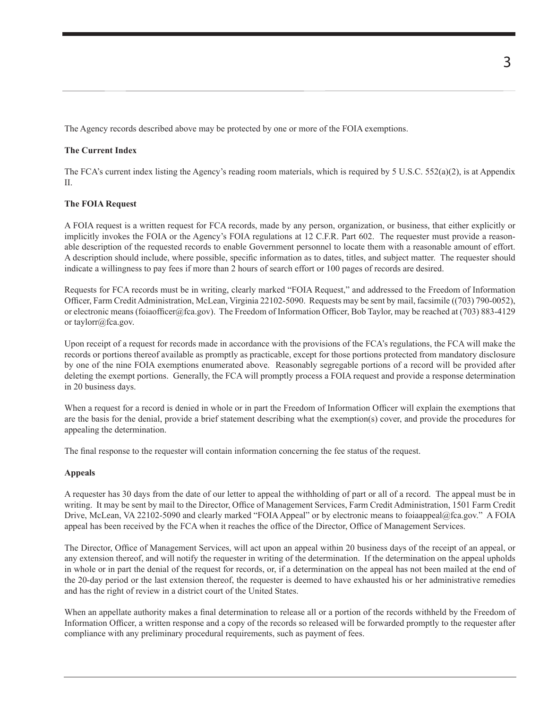The Agency records described above may be protected by one or more of the FOIA exemptions.

#### **The Current Index**

The FCA's current index listing the Agency's reading room materials, which is required by 5 U.S.C. 552(a)(2), is at Appendix II.

#### **The FOIA Request**

A FOIA request is a written request for FCA records, made by any person, organization, or business, that either explicitly or implicitly invokes the FOIA or the Agency's FOIA regulations at 12 C.F.R. Part 602. The requester must provide a reasonable description of the requested records to enable Government personnel to locate them with a reasonable amount of effort. A description should include, where possible, specific information as to dates, titles, and subject matter. The requester should indicate a willingness to pay fees if more than 2 hours of search effort or 100 pages of records are desired.

Requests for FCA records must be in writing, clearly marked "FOIA Request," and addressed to the Freedom of Information Officer, Farm Credit Administration, McLean, Virginia 22102-5090. Requests may be sent by mail, facsimile ((703) 790-0052), or electronic means (foiaofficer@fca.gov). The Freedom of Information Officer, Bob Taylor, may be reached at (703) 883-4129 or taylorr@fca.gov.

Upon receipt of a request for records made in accordance with the provisions of the FCA's regulations, the FCA will make the records or portions thereof available as promptly as practicable, except for those portions protected from mandatory disclosure by one of the nine FOIA exemptions enumerated above. Reasonably segregable portions of a record will be provided after deleting the exempt portions. Generally, the FCA will promptly process a FOIA request and provide a response determination in 20 business days.

When a request for a record is denied in whole or in part the Freedom of Information Officer will explain the exemptions that are the basis for the denial, provide a brief statement describing what the exemption(s) cover, and provide the procedures for appealing the determination.

The final response to the requester will contain information concerning the fee status of the request.

#### **Appeals**

A requester has 30 days from the date of our letter to appeal the withholding of part or all of a record. The appeal must be in writing. It may be sent by mail to the Director, Office of Management Services, Farm Credit Administration, 1501 Farm Credit Drive, McLean, VA 22102-5090 and clearly marked "FOIA Appeal" or by electronic means to foiaappeal@fca.gov." A FOIA appeal has been received by the FCA when it reaches the office of the Director, Office of Management Services.

The Director, Office of Management Services, will act upon an appeal within 20 business days of the receipt of an appeal, or any extension thereof, and will notify the requester in writing of the determination. If the determination on the appeal upholds in whole or in part the denial of the request for records, or, if a determination on the appeal has not been mailed at the end of the 20-day period or the last extension thereof, the requester is deemed to have exhausted his or her administrative remedies and has the right of review in a district court of the United States.

When an appellate authority makes a final determination to release all or a portion of the records withheld by the Freedom of Information Officer, a written response and a copy of the records so released will be forwarded promptly to the requester after compliance with any preliminary procedural requirements, such as payment of fees.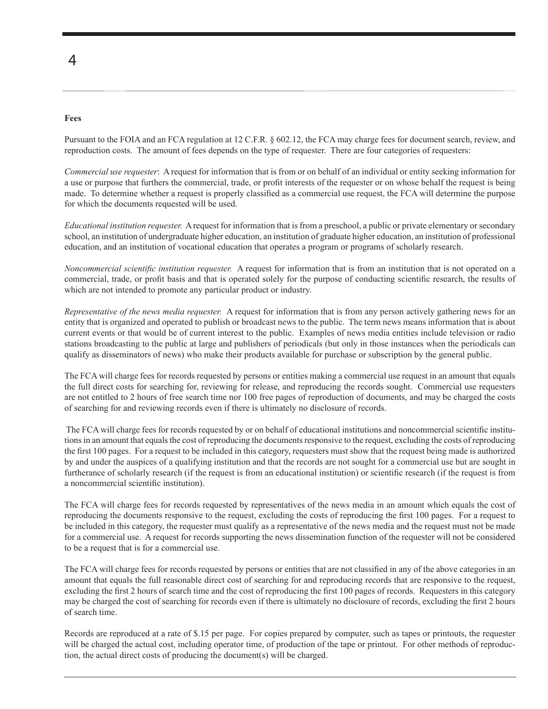## 4

#### **Fees**

Pursuant to the FOIA and an FCA regulation at 12 C.F.R. § 602.12, the FCA may charge fees for document search, review, and reproduction costs. The amount of fees depends on the type of requester. There are four categories of requesters:

*Commercial use requester*: A request for information that is from or on behalf of an individual or entity seeking information for a use or purpose that furthers the commercial, trade, or profit interests of the requester or on whose behalf the request is being made. To determine whether a request is properly classified as a commercial use request, the FCA will determine the purpose for which the documents requested will be used.

*Educational institution requester.* A request for information that is from a preschool, a public or private elementary or secondary school, an institution of undergraduate higher education, an institution of graduate higher education, an institution of professional education, and an institution of vocational education that operates a program or programs of scholarly research.

*Noncommercial scientific institution requester.* A request for information that is from an institution that is not operated on a commercial, trade, or profit basis and that is operated solely for the purpose of conducting scientific research, the results of which are not intended to promote any particular product or industry.

*Representative of the news media requester.* A request for information that is from any person actively gathering news for an entity that is organized and operated to publish or broadcast news to the public. The term news means information that is about current events or that would be of current interest to the public. Examples of news media entities include television or radio stations broadcasting to the public at large and publishers of periodicals (but only in those instances when the periodicals can qualify as disseminators of news) who make their products available for purchase or subscription by the general public.

The FCA will charge fees for records requested by persons or entities making a commercial use request in an amount that equals the full direct costs for searching for, reviewing for release, and reproducing the records sought. Commercial use requesters are not entitled to 2 hours of free search time nor 100 free pages of reproduction of documents, and may be charged the costs of searching for and reviewing records even if there is ultimately no disclosure of records.

 The FCA will charge fees for records requested by or on behalf of educational institutions and noncommercial scientific institutions in an amount that equals the cost of reproducing the documents responsive to the request, excluding the costs of reproducing the first 100 pages. For a request to be included in this category, requesters must show that the request being made is authorized by and under the auspices of a qualifying institution and that the records are not sought for a commercial use but are sought in furtherance of scholarly research (if the request is from an educational institution) or scientific research (if the request is from a noncommercial scientific institution).

The FCA will charge fees for records requested by representatives of the news media in an amount which equals the cost of reproducing the documents responsive to the request, excluding the costs of reproducing the first 100 pages. For a request to be included in this category, the requester must qualify as a representative of the news media and the request must not be made for a commercial use. A request for records supporting the news dissemination function of the requester will not be considered to be a request that is for a commercial use.

The FCA will charge fees for records requested by persons or entities that are not classified in any of the above categories in an amount that equals the full reasonable direct cost of searching for and reproducing records that are responsive to the request, excluding the first 2 hours of search time and the cost of reproducing the first 100 pages of records. Requesters in this category may be charged the cost of searching for records even if there is ultimately no disclosure of records, excluding the first 2 hours of search time.

Records are reproduced at a rate of \$.15 per page. For copies prepared by computer, such as tapes or printouts, the requester will be charged the actual cost, including operator time, of production of the tape or printout. For other methods of reproduction, the actual direct costs of producing the document(s) will be charged.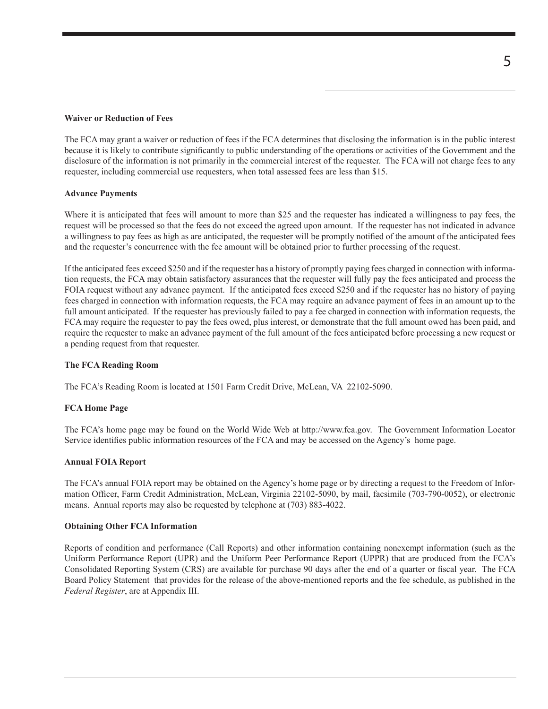#### **Waiver or Reduction of Fees**

The FCA may grant a waiver or reduction of fees if the FCA determines that disclosing the information is in the public interest because it is likely to contribute significantly to public understanding of the operations or activities of the Government and the disclosure of the information is not primarily in the commercial interest of the requester. The FCA will not charge fees to any requester, including commercial use requesters, when total assessed fees are less than \$15.

#### **Advance Payments**

Where it is anticipated that fees will amount to more than \$25 and the requester has indicated a willingness to pay fees, the request will be processed so that the fees do not exceed the agreed upon amount. If the requester has not indicated in advance a willingness to pay fees as high as are anticipated, the requester will be promptly notified of the amount of the anticipated fees and the requester's concurrence with the fee amount will be obtained prior to further processing of the request.

If the anticipated fees exceed \$250 and if the requester has a history of promptly paying fees charged in connection with information requests, the FCA may obtain satisfactory assurances that the requester will fully pay the fees anticipated and process the FOIA request without any advance payment. If the anticipated fees exceed \$250 and if the requester has no history of paying fees charged in connection with information requests, the FCA may require an advance payment of fees in an amount up to the full amount anticipated. If the requester has previously failed to pay a fee charged in connection with information requests, the FCA may require the requester to pay the fees owed, plus interest, or demonstrate that the full amount owed has been paid, and require the requester to make an advance payment of the full amount of the fees anticipated before processing a new request or a pending request from that requester.

#### **The FCA Reading Room**

The FCA's Reading Room is located at 1501 Farm Credit Drive, McLean, VA 22102-5090.

#### **FCA Home Page**

The FCA's home page may be found on the World Wide Web at http://www.fca.gov. The Government Information Locator Service identifies public information resources of the FCA and may be accessed on the Agency's home page.

#### **Annual FOIA Report**

The FCA's annual FOIA report may be obtained on the Agency's home page or by directing a request to the Freedom of Information Officer, Farm Credit Administration, McLean, Virginia 22102-5090, by mail, facsimile (703-790-0052), or electronic means. Annual reports may also be requested by telephone at (703) 883-4022.

#### **Obtaining Other FCA Information**

Reports of condition and performance (Call Reports) and other information containing nonexempt information (such as the Uniform Performance Report (UPR) and the Uniform Peer Performance Report (UPPR) that are produced from the FCA's Consolidated Reporting System (CRS) are available for purchase 90 days after the end of a quarter or fiscal year. The FCA Board Policy Statement that provides for the release of the above-mentioned reports and the fee schedule, as published in the *Federal Register*, are at Appendix III.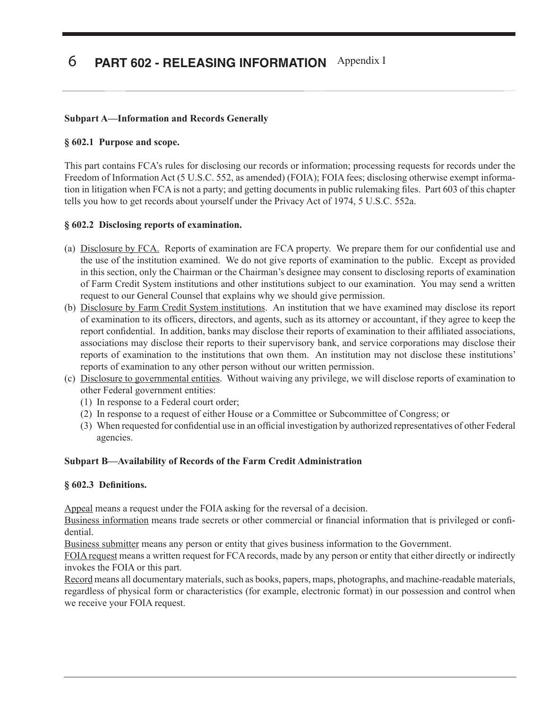# 6 PART 602 - RELEASING INFORMATION Appendix I

## **Subpart A—Information and Records Generally**

#### **§ 602.1 Purpose and scope.**

This part contains FCA's rules for disclosing our records or information; processing requests for records under the Freedom of Information Act (5 U.S.C. 552, as amended) (FOIA); FOIA fees; disclosing otherwise exempt information in litigation when FCA is not a party; and getting documents in public rulemaking files. Part 603 of this chapter tells you how to get records about yourself under the Privacy Act of 1974, 5 U.S.C. 552a.

### **§ 602.2 Disclosing reports of examination.**

- (a) Disclosure by FCA. Reports of examination are FCA property. We prepare them for our confidential use and the use of the institution examined. We do not give reports of examination to the public. Except as provided in this section, only the Chairman or the Chairman's designee may consent to disclosing reports of examination of Farm Credit System institutions and other institutions subject to our examination. You may send a written request to our General Counsel that explains why we should give permission.
- (b) Disclosure by Farm Credit System institutions. An institution that we have examined may disclose its report of examination to its officers, directors, and agents, such as its attorney or accountant, if they agree to keep the report confidential. In addition, banks may disclose their reports of examination to their affiliated associations, associations may disclose their reports to their supervisory bank, and service corporations may disclose their reports of examination to the institutions that own them. An institution may not disclose these institutions' reports of examination to any other person without our written permission.
- (c) Disclosure to governmental entities. Without waiving any privilege, we will disclose reports of examination to other Federal government entities:
	- (1) In response to a Federal court order;
	- (2) In response to a request of either House or a Committee or Subcommittee of Congress; or
	- (3) When requested for confidential use in an official investigation by authorized representatives of other Federal agencies.

#### **Subpart B—Availability of Records of the Farm Credit Administration**

#### **§ 602.3 Definitions.**

Appeal means a request under the FOIA asking for the reversal of a decision.

Business information means trade secrets or other commercial or financial information that is privileged or confidential.

Business submitter means any person or entity that gives business information to the Government.

FOIA request means a written request for FCA records, made by any person or entity that either directly or indirectly invokes the FOIA or this part.

Record means all documentary materials, such as books, papers, maps, photographs, and machine-readable materials, regardless of physical form or characteristics (for example, electronic format) in our possession and control when we receive your FOIA request.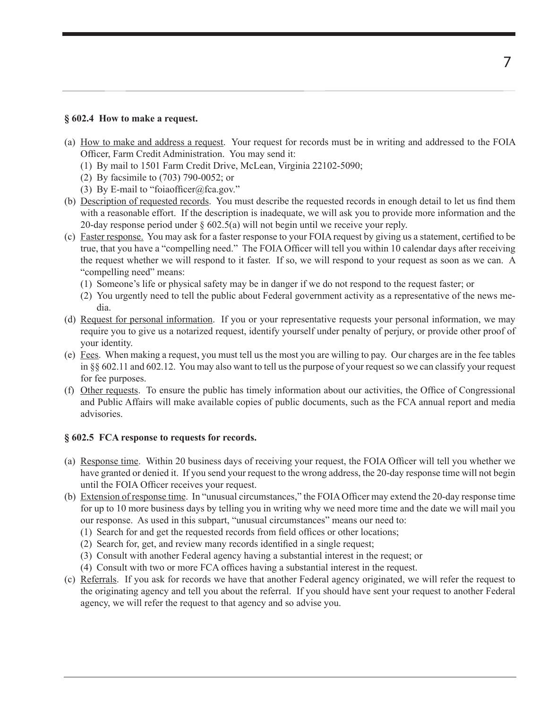#### **§ 602.4 How to make a request.**

- (a) How to make and address a request. Your request for records must be in writing and addressed to the FOIA Officer, Farm Credit Administration. You may send it:
	- (1) By mail to 1501 Farm Credit Drive, McLean, Virginia 22102-5090;
	- (2) By facsimile to (703) 790-0052; or
	- (3) By E-mail to "foiaofficer@fca.gov."
- (b) Description of requested records. You must describe the requested records in enough detail to let us find them with a reasonable effort. If the description is inadequate, we will ask you to provide more information and the 20-day response period under § 602.5(a) will not begin until we receive your reply.
- (c) Faster response. You may ask for a faster response to your FOIA request by giving us a statement, certified to be true, that you have a "compelling need." The FOIA Officer will tell you within 10 calendar days after receiving the request whether we will respond to it faster. If so, we will respond to your request as soon as we can. A "compelling need" means:
	- (1) Someone's life or physical safety may be in danger if we do not respond to the request faster; or
	- (2) You urgently need to tell the public about Federal government activity as a representative of the news media.
- (d) Request for personal information. If you or your representative requests your personal information, we may require you to give us a notarized request, identify yourself under penalty of perjury, or provide other proof of your identity.
- (e) Fees. When making a request, you must tell us the most you are willing to pay. Our charges are in the fee tables in §§ 602.11 and 602.12. You may also want to tell us the purpose of your request so we can classify your request for fee purposes.
- (f) Other requests. To ensure the public has timely information about our activities, the Office of Congressional and Public Affairs will make available copies of public documents, such as the FCA annual report and media advisories.

## **§ 602.5 FCA response to requests for records.**

- (a) Response time. Within 20 business days of receiving your request, the FOIA Officer will tell you whether we have granted or denied it. If you send your request to the wrong address, the 20-day response time will not begin until the FOIA Officer receives your request.
- (b) Extension of response time. In "unusual circumstances," the FOIA Officer may extend the 20-day response time for up to 10 more business days by telling you in writing why we need more time and the date we will mail you our response. As used in this subpart, "unusual circumstances" means our need to:
	- (1) Search for and get the requested records from field offices or other locations;
	- (2) Search for, get, and review many records identified in a single request;
	- (3) Consult with another Federal agency having a substantial interest in the request; or
	- (4) Consult with two or more FCA offices having a substantial interest in the request.
- (c) Referrals. If you ask for records we have that another Federal agency originated, we will refer the request to the originating agency and tell you about the referral. If you should have sent your request to another Federal agency, we will refer the request to that agency and so advise you.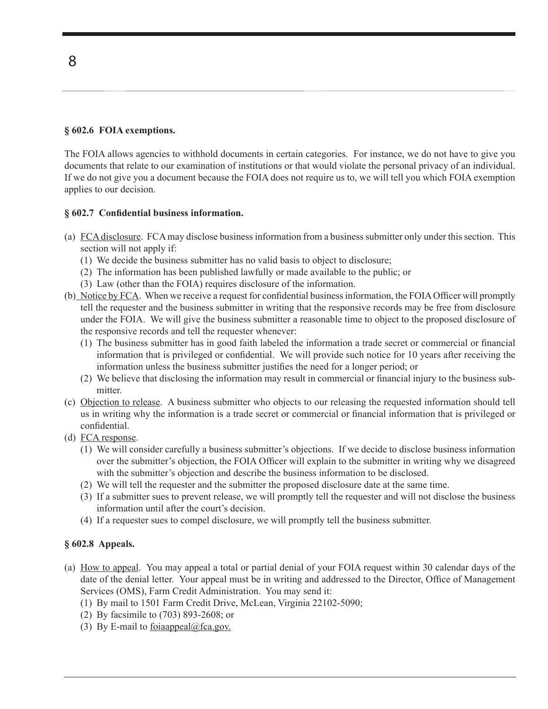## **§ 602.6 FOIA exemptions.**

The FOIA allows agencies to withhold documents in certain categories. For instance, we do not have to give you documents that relate to our examination of institutions or that would violate the personal privacy of an individual. If we do not give you a document because the FOIA does not require us to, we will tell you which FOIA exemption applies to our decision.

### **§ 602.7 Confidential business information.**

- (a) FCA disclosure. FCA may disclose business information from a business submitter only under this section. This section will not apply if:
	- (1) We decide the business submitter has no valid basis to object to disclosure;
	- (2) The information has been published lawfully or made available to the public; or
	- (3) Law (other than the FOIA) requires disclosure of the information.
- (b) Notice by FCA. When we receive a request for confidential business information, the FOIA Officer will promptly tell the requester and the business submitter in writing that the responsive records may be free from disclosure under the FOIA. We will give the business submitter a reasonable time to object to the proposed disclosure of the responsive records and tell the requester whenever:
	- (1) The business submitter has in good faith labeled the information a trade secret or commercial or financial information that is privileged or confidential. We will provide such notice for 10 years after receiving the information unless the business submitter justifies the need for a longer period; or
	- (2) We believe that disclosing the information may result in commercial or financial injury to the business submitter.
- (c) Objection to release. A business submitter who objects to our releasing the requested information should tell us in writing why the information is a trade secret or commercial or financial information that is privileged or confidential.
- (d) FCA response.
	- (1) We will consider carefully a business submitter's objections. If we decide to disclose business information over the submitter's objection, the FOIA Officer will explain to the submitter in writing why we disagreed with the submitter's objection and describe the business information to be disclosed.
	- (2) We will tell the requester and the submitter the proposed disclosure date at the same time.
	- (3) If a submitter sues to prevent release, we will promptly tell the requester and will not disclose the business information until after the court's decision.
	- (4) If a requester sues to compel disclosure, we will promptly tell the business submitter.

## **§ 602.8 Appeals.**

- (a) How to appeal. You may appeal a total or partial denial of your FOIA request within 30 calendar days of the date of the denial letter. Your appeal must be in writing and addressed to the Director, Office of Management Services (OMS), Farm Credit Administration. You may send it:
	- (1) By mail to 1501 Farm Credit Drive, McLean, Virginia 22102-5090;
	- (2) By facsimile to (703) 893-2608; or
	- (3) By E-mail to foiaappeal@fca.gov.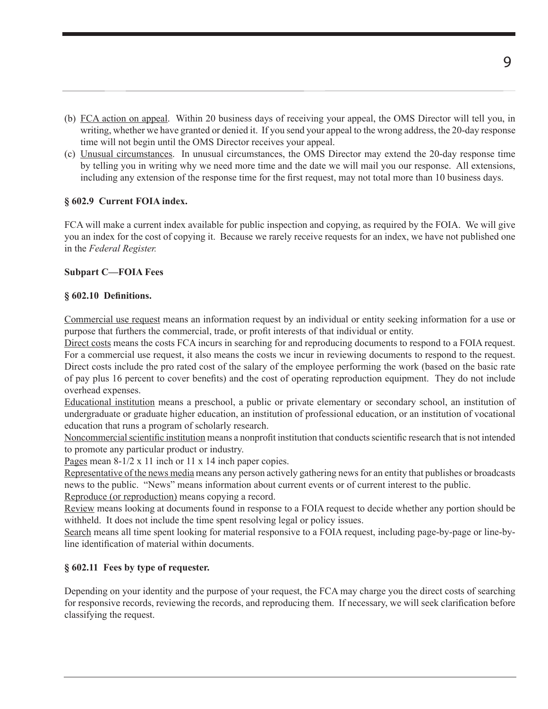- (b) FCA action on appeal. Within 20 business days of receiving your appeal, the OMS Director will tell you, in writing, whether we have granted or denied it. If you send your appeal to the wrong address, the 20-day response time will not begin until the OMS Director receives your appeal.
- (c) Unusual circumstances. In unusual circumstances, the OMS Director may extend the 20-day response time by telling you in writing why we need more time and the date we will mail you our response. All extensions, including any extension of the response time for the first request, may not total more than 10 business days.

### **§ 602.9 Current FOIA index.**

FCA will make a current index available for public inspection and copying, as required by the FOIA. We will give you an index for the cost of copying it. Because we rarely receive requests for an index, we have not published one in the *Federal Register.* 

### **Subpart C—FOIA Fees**

#### **§ 602.10 Definitions.**

Commercial use request means an information request by an individual or entity seeking information for a use or purpose that furthers the commercial, trade, or profit interests of that individual or entity.

Direct costs means the costs FCA incurs in searching for and reproducing documents to respond to a FOIA request. For a commercial use request, it also means the costs we incur in reviewing documents to respond to the request. Direct costs include the pro rated cost of the salary of the employee performing the work (based on the basic rate of pay plus 16 percent to cover benefits) and the cost of operating reproduction equipment. They do not include overhead expenses.

Educational institution means a preschool, a public or private elementary or secondary school, an institution of undergraduate or graduate higher education, an institution of professional education, or an institution of vocational education that runs a program of scholarly research.

Noncommercial scientific institution means a nonprofit institution that conducts scientific research that is not intended to promote any particular product or industry.

Pages mean 8-1/2 x 11 inch or 11 x 14 inch paper copies.

Representative of the news media means any person actively gathering news for an entity that publishes or broadcasts news to the public. "News" means information about current events or of current interest to the public. Reproduce (or reproduction) means copying a record.

Review means looking at documents found in response to a FOIA request to decide whether any portion should be withheld. It does not include the time spent resolving legal or policy issues.

Search means all time spent looking for material responsive to a FOIA request, including page-by-page or line-byline identification of material within documents.

## **§ 602.11 Fees by type of requester.**

Depending on your identity and the purpose of your request, the FCA may charge you the direct costs of searching for responsive records, reviewing the records, and reproducing them. If necessary, we will seek clarification before classifying the request.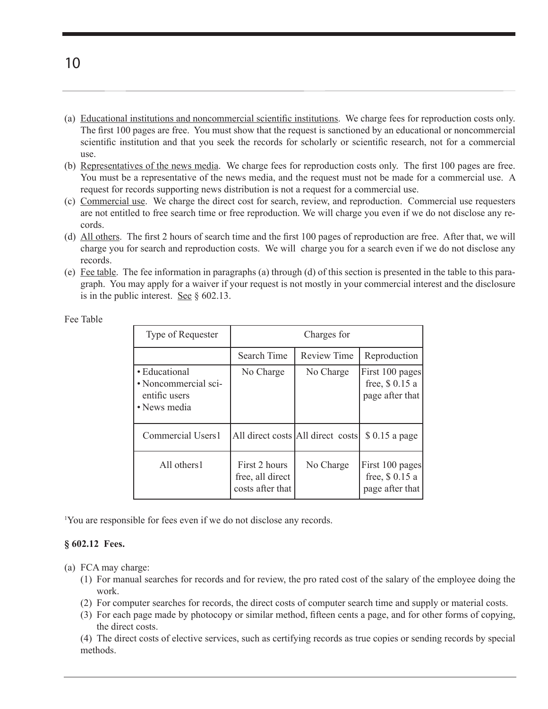- (a) Educational institutions and noncommercial scientific institutions. We charge fees for reproduction costs only. The first 100 pages are free. You must show that the request is sanctioned by an educational or noncommercial scientific institution and that you seek the records for scholarly or scientific research, not for a commercial use.
- (b) Representatives of the news media. We charge fees for reproduction costs only. The first 100 pages are free. You must be a representative of the news media, and the request must not be made for a commercial use. A request for records supporting news distribution is not a request for a commercial use.
- (c) Commercial use. We charge the direct cost for search, review, and reproduction. Commercial use requesters are not entitled to free search time or free reproduction. We will charge you even if we do not disclose any records.
- (d) All others. The first 2 hours of search time and the first 100 pages of reproduction are free. After that, we will charge you for search and reproduction costs. We will charge you for a search even if we do not disclose any records.
- (e) Fee table. The fee information in paragraphs (a) through (d) of this section is presented in the table to this paragraph. You may apply for a waiver if your request is not mostly in your commercial interest and the disclosure is in the public interest. See  $\S$  602.13.

| Type of Requester                                                      | Charges for                                           |                                   |                                                      |
|------------------------------------------------------------------------|-------------------------------------------------------|-----------------------------------|------------------------------------------------------|
|                                                                        | Search Time                                           | Review Time                       | Reproduction                                         |
| · Educational<br>• Noncommercial sci-<br>entific users<br>• News media | No Charge                                             | No Charge                         | First 100 pages<br>free, \$0.15 a<br>page after that |
| Commercial Users1                                                      |                                                       | All direct costs All direct costs | \$ 0.15 a page                                       |
| All others1                                                            | First 2 hours<br>free, all direct<br>costs after that | No Charge                         | First 100 pages<br>free, $$0.15a$<br>page after that |

Fee Table

1 You are responsible for fees even if we do not disclose any records.

#### **§ 602.12 Fees.**

- (a) FCA may charge:
	- (1) For manual searches for records and for review, the pro rated cost of the salary of the employee doing the work.
	- (2) For computer searches for records, the direct costs of computer search time and supply or material costs.
	- (3) For each page made by photocopy or similar method, fifteen cents a page, and for other forms of copying, the direct costs.

(4) The direct costs of elective services, such as certifying records as true copies or sending records by special methods.

10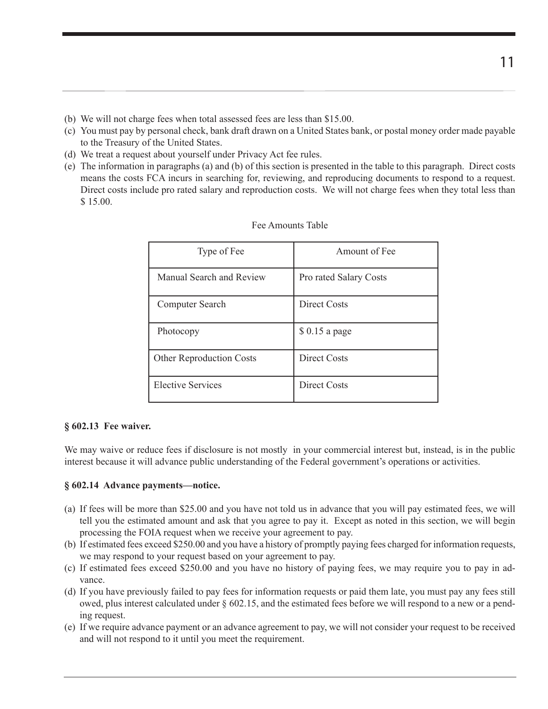- (b) We will not charge fees when total assessed fees are less than \$15.00.
- (c) You must pay by personal check, bank draft drawn on a United States bank, or postal money order made payable to the Treasury of the United States.
- (d) We treat a request about yourself under Privacy Act fee rules.
- (e) The information in paragraphs (a) and (b) of this section is presented in the table to this paragraph. Direct costs means the costs FCA incurs in searching for, reviewing, and reproducing documents to respond to a request. Direct costs include pro rated salary and reproduction costs. We will not charge fees when they total less than \$ 15.00.

| Type of Fee                     | Amount of Fee          |
|---------------------------------|------------------------|
| Manual Search and Review        | Pro rated Salary Costs |
| Computer Search                 | Direct Costs           |
| Photocopy                       | $$0.15$ a page         |
| <b>Other Reproduction Costs</b> | <b>Direct Costs</b>    |
| Elective Services               | Direct Costs           |

| Fee Amounts Table |  |  |
|-------------------|--|--|
|-------------------|--|--|

#### **§ 602.13 Fee waiver.**

We may waive or reduce fees if disclosure is not mostly in your commercial interest but, instead, is in the public interest because it will advance public understanding of the Federal government's operations or activities.

#### **§ 602.14 Advance payments—notice.**

- (a) If fees will be more than \$25.00 and you have not told us in advance that you will pay estimated fees, we will tell you the estimated amount and ask that you agree to pay it. Except as noted in this section, we will begin processing the FOIA request when we receive your agreement to pay.
- (b) If estimated fees exceed \$250.00 and you have a history of promptly paying fees charged for information requests, we may respond to your request based on your agreement to pay.
- (c) If estimated fees exceed \$250.00 and you have no history of paying fees, we may require you to pay in advance.
- (d) If you have previously failed to pay fees for information requests or paid them late, you must pay any fees still owed, plus interest calculated under § 602.15, and the estimated fees before we will respond to a new or a pending request.
- (e) If we require advance payment or an advance agreement to pay, we will not consider your request to be received and will not respond to it until you meet the requirement.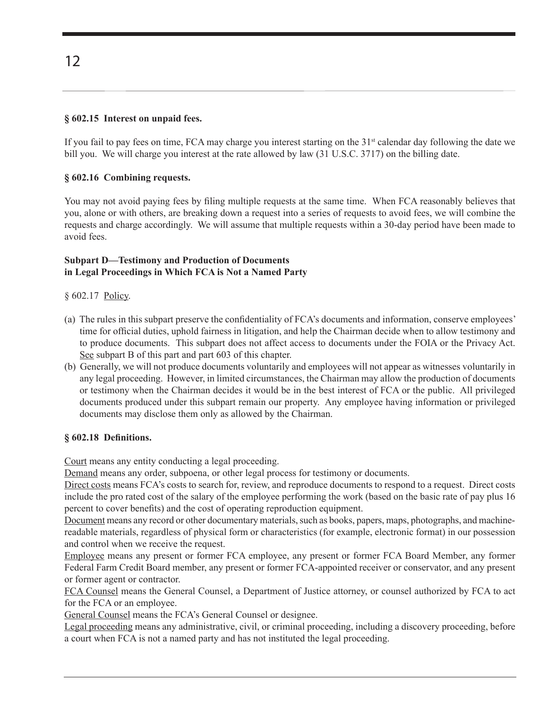## **§ 602.15 Interest on unpaid fees.**

If you fail to pay fees on time, FCA may charge you interest starting on the  $31<sup>st</sup>$  calendar day following the date we bill you. We will charge you interest at the rate allowed by law (31 U.S.C. 3717) on the billing date.

## **§ 602.16 Combining requests.**

You may not avoid paying fees by filing multiple requests at the same time. When FCA reasonably believes that you, alone or with others, are breaking down a request into a series of requests to avoid fees, we will combine the requests and charge accordingly. We will assume that multiple requests within a 30-day period have been made to avoid fees.

#### **Subpart D—Testimony and Production of Documents in Legal Proceedings in Which FCA is Not a Named Party**

§ 602.17 Policy.

- (a) The rules in this subpart preserve the confidentiality of FCA's documents and information, conserve employees' time for official duties, uphold fairness in litigation, and help the Chairman decide when to allow testimony and to produce documents. This subpart does not affect access to documents under the FOIA or the Privacy Act. See subpart B of this part and part 603 of this chapter.
- (b) Generally, we will not produce documents voluntarily and employees will not appear as witnesses voluntarily in any legal proceeding. However, in limited circumstances, the Chairman may allow the production of documents or testimony when the Chairman decides it would be in the best interest of FCA or the public. All privileged documents produced under this subpart remain our property. Any employee having information or privileged documents may disclose them only as allowed by the Chairman.

#### **§ 602.18 Definitions.**

Court means any entity conducting a legal proceeding.

Demand means any order, subpoena, or other legal process for testimony or documents.

Direct costs means FCA's costs to search for, review, and reproduce documents to respond to a request. Direct costs include the pro rated cost of the salary of the employee performing the work (based on the basic rate of pay plus 16 percent to cover benefits) and the cost of operating reproduction equipment.

Document means any record or other documentary materials, such as books, papers, maps, photographs, and machinereadable materials, regardless of physical form or characteristics (for example, electronic format) in our possession and control when we receive the request.

Employee means any present or former FCA employee, any present or former FCA Board Member, any former Federal Farm Credit Board member, any present or former FCA-appointed receiver or conservator, and any present or former agent or contractor.

FCA Counsel means the General Counsel, a Department of Justice attorney, or counsel authorized by FCA to act for the FCA or an employee.

General Counsel means the FCA's General Counsel or designee.

Legal proceeding means any administrative, civil, or criminal proceeding, including a discovery proceeding, before a court when FCA is not a named party and has not instituted the legal proceeding.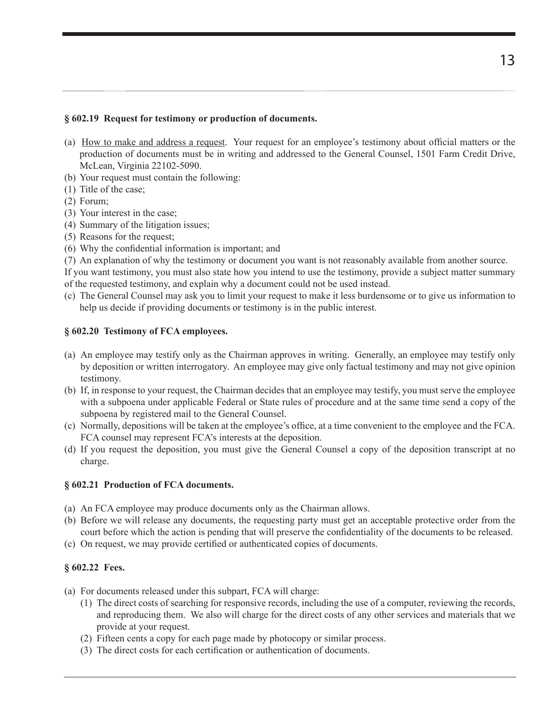### **§ 602.19 Request for testimony or production of documents.**

- (a) How to make and address a request. Your request for an employee's testimony about official matters or the production of documents must be in writing and addressed to the General Counsel, 1501 Farm Credit Drive, McLean, Virginia 22102-5090.
- (b) Your request must contain the following:
- (1) Title of the case;
- (2) Forum;
- (3) Your interest in the case;
- (4) Summary of the litigation issues;
- (5) Reasons for the request;
- (6) Why the confidential information is important; and
- (7) An explanation of why the testimony or document you want is not reasonably available from another source.

If you want testimony, you must also state how you intend to use the testimony, provide a subject matter summary of the requested testimony, and explain why a document could not be used instead.

(c) The General Counsel may ask you to limit your request to make it less burdensome or to give us information to help us decide if providing documents or testimony is in the public interest.

## **§ 602.20 Testimony of FCA employees.**

- (a) An employee may testify only as the Chairman approves in writing. Generally, an employee may testify only by deposition or written interrogatory. An employee may give only factual testimony and may not give opinion testimony.
- (b) If, in response to your request, the Chairman decides that an employee may testify, you must serve the employee with a subpoena under applicable Federal or State rules of procedure and at the same time send a copy of the subpoena by registered mail to the General Counsel.
- (c) Normally, depositions will be taken at the employee's office, at a time convenient to the employee and the FCA. FCA counsel may represent FCA's interests at the deposition.
- (d) If you request the deposition, you must give the General Counsel a copy of the deposition transcript at no charge.

## **§ 602.21 Production of FCA documents.**

- (a) An FCA employee may produce documents only as the Chairman allows.
- (b) Before we will release any documents, the requesting party must get an acceptable protective order from the court before which the action is pending that will preserve the confidentiality of the documents to be released.
- (c) On request, we may provide certified or authenticated copies of documents.

## **§ 602.22 Fees.**

- (a) For documents released under this subpart, FCA will charge:
	- (1) The direct costs of searching for responsive records, including the use of a computer, reviewing the records, and reproducing them. We also will charge for the direct costs of any other services and materials that we provide at your request.
	- (2) Fifteen cents a copy for each page made by photocopy or similar process.
	- (3) The direct costs for each certification or authentication of documents.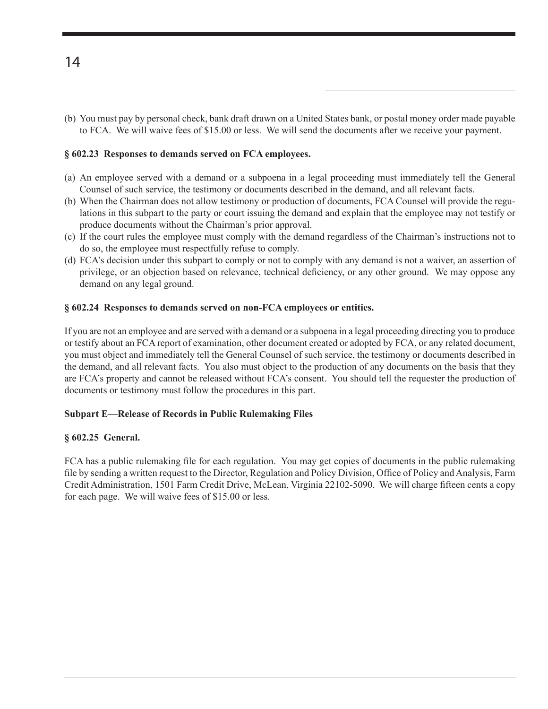(b) You must pay by personal check, bank draft drawn on a United States bank, or postal money order made payable to FCA. We will waive fees of \$15.00 or less. We will send the documents after we receive your payment.

#### **§ 602.23 Responses to demands served on FCA employees.**

- (a) An employee served with a demand or a subpoena in a legal proceeding must immediately tell the General Counsel of such service, the testimony or documents described in the demand, and all relevant facts.
- (b) When the Chairman does not allow testimony or production of documents, FCA Counsel will provide the regulations in this subpart to the party or court issuing the demand and explain that the employee may not testify or produce documents without the Chairman's prior approval.
- (c) If the court rules the employee must comply with the demand regardless of the Chairman's instructions not to do so, the employee must respectfully refuse to comply.
- (d) FCA's decision under this subpart to comply or not to comply with any demand is not a waiver, an assertion of privilege, or an objection based on relevance, technical deficiency, or any other ground. We may oppose any demand on any legal ground.

### **§ 602.24 Responses to demands served on non-FCA employees or entities.**

If you are not an employee and are served with a demand or a subpoena in a legal proceeding directing you to produce or testify about an FCA report of examination, other document created or adopted by FCA, or any related document, you must object and immediately tell the General Counsel of such service, the testimony or documents described in the demand, and all relevant facts. You also must object to the production of any documents on the basis that they are FCA's property and cannot be released without FCA's consent. You should tell the requester the production of documents or testimony must follow the procedures in this part.

#### **Subpart E—Release of Records in Public Rulemaking Files**

#### **§ 602.25 General.**

FCA has a public rulemaking file for each regulation. You may get copies of documents in the public rulemaking file by sending a written request to the Director, Regulation and Policy Division, Office of Policy and Analysis, Farm Credit Administration, 1501 Farm Credit Drive, McLean, Virginia 22102-5090. We will charge fifteen cents a copy for each page. We will waive fees of \$15.00 or less.

14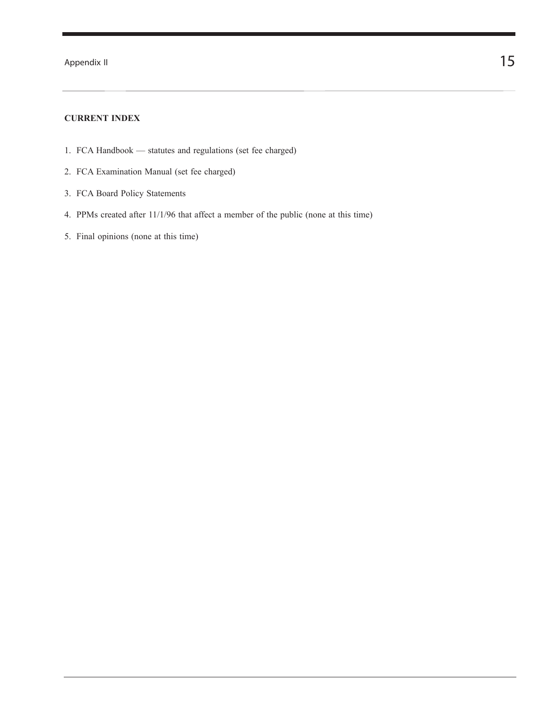Appendix II  $15$ 

#### **CURRENT INDEX**

- 1. FCA Handbook statutes and regulations (set fee charged)
- 2. FCA Examination Manual (set fee charged)
- 3. FCA Board Policy Statements
- 4. PPMs created after 11/1/96 that affect a member of the public (none at this time)
- 5. Final opinions (none at this time)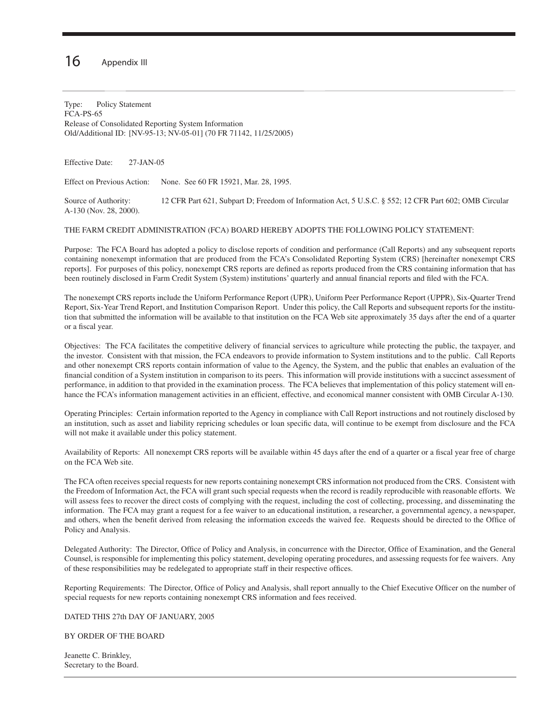## $16$  Appendix III

Type: Policy Statement FCA-PS-65 Release of Consolidated Reporting System Information Old/Additional ID: [NV-95-13; NV-05-01] (70 FR 71142, 11/25/2005)

Effective Date: 27-JAN-05

Effect on Previous Action: None. See 60 FR 15921, Mar. 28, 1995.

Source of Authority: 12 CFR Part 621, Subpart D; Freedom of Information Act, 5 U.S.C. § 552; 12 CFR Part 602; OMB Circular A-130 (Nov. 28, 2000).

#### THE FARM CREDIT ADMINISTRATION (FCA) BOARD HEREBY ADOPTS THE FOLLOWING POLICY STATEMENT:

Purpose: The FCA Board has adopted a policy to disclose reports of condition and performance (Call Reports) and any subsequent reports containing nonexempt information that are produced from the FCA's Consolidated Reporting System (CRS) [hereinafter nonexempt CRS reports]. For purposes of this policy, nonexempt CRS reports are defined as reports produced from the CRS containing information that has been routinely disclosed in Farm Credit System (System) institutions' quarterly and annual financial reports and filed with the FCA.

The nonexempt CRS reports include the Uniform Performance Report (UPR), Uniform Peer Performance Report (UPPR), Six-Quarter Trend Report, Six-Year Trend Report, and Institution Comparison Report. Under this policy, the Call Reports and subsequent reports for the institution that submitted the information will be available to that institution on the FCA Web site approximately 35 days after the end of a quarter or a fiscal year.

Objectives: The FCA facilitates the competitive delivery of financial services to agriculture while protecting the public, the taxpayer, and the investor. Consistent with that mission, the FCA endeavors to provide information to System institutions and to the public. Call Reports and other nonexempt CRS reports contain information of value to the Agency, the System, and the public that enables an evaluation of the financial condition of a System institution in comparison to its peers. This information will provide institutions with a succinct assessment of performance, in addition to that provided in the examination process. The FCA believes that implementation of this policy statement will enhance the FCA's information management activities in an efficient, effective, and economical manner consistent with OMB Circular A-130.

Operating Principles: Certain information reported to the Agency in compliance with Call Report instructions and not routinely disclosed by an institution, such as asset and liability repricing schedules or loan specific data, will continue to be exempt from disclosure and the FCA will not make it available under this policy statement.

Availability of Reports: All nonexempt CRS reports will be available within 45 days after the end of a quarter or a fiscal year free of charge on the FCA Web site.

The FCA often receives special requests for new reports containing nonexempt CRS information not produced from the CRS. Consistent with the Freedom of Information Act, the FCA will grant such special requests when the record is readily reproducible with reasonable efforts. We will assess fees to recover the direct costs of complying with the request, including the cost of collecting, processing, and disseminating the information. The FCA may grant a request for a fee waiver to an educational institution, a researcher, a governmental agency, a newspaper, and others, when the benefit derived from releasing the information exceeds the waived fee. Requests should be directed to the Office of Policy and Analysis.

Delegated Authority: The Director, Office of Policy and Analysis, in concurrence with the Director, Office of Examination, and the General Counsel, is responsible for implementing this policy statement, developing operating procedures, and assessing requests for fee waivers. Any of these responsibilities may be redelegated to appropriate staff in their respective offices.

Reporting Requirements: The Director, Office of Policy and Analysis, shall report annually to the Chief Executive Officer on the number of special requests for new reports containing nonexempt CRS information and fees received.

#### DATED THIS 27th DAY OF JANUARY, 2005

BY ORDER OF THE BOARD

Jeanette C. Brinkley, Secretary to the Board.